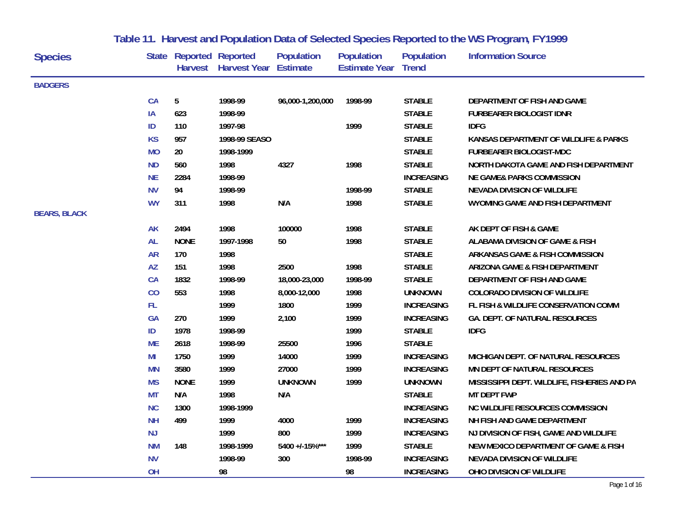| <b>Species</b>      |           | <b>State Reported Reported</b> | Harvest Harvest Year Estimate | <b>Population</b> | <b>Population</b><br><b>Estimate Year Trend</b> | <b>Population</b> | <b>Information Source</b>                    |
|---------------------|-----------|--------------------------------|-------------------------------|-------------------|-------------------------------------------------|-------------------|----------------------------------------------|
| <b>BADGERS</b>      |           |                                |                               |                   |                                                 |                   |                                              |
|                     | <b>CA</b> | 5                              | 1998-99                       | 96,000-1,200,000  | 1998-99                                         | <b>STABLE</b>     | DEPARTMENT OF FISH AND GAME                  |
|                     | IA        | 623                            | 1998-99                       |                   |                                                 | <b>STABLE</b>     | <b>FURBEARER BIOLOGIST IDNR</b>              |
|                     | ID        | 110                            | 1997-98                       |                   | 1999                                            | <b>STABLE</b>     | <b>IDFG</b>                                  |
|                     | <b>KS</b> | 957                            | 1998-99 SEASO                 |                   |                                                 | <b>STABLE</b>     | KANSAS DEPARTMENT OF WILDLIFE & PARKS        |
|                     | <b>MO</b> | 20                             | 1998-1999                     |                   |                                                 | <b>STABLE</b>     | <b>FURBEARER BIOLOGIST-MDC</b>               |
|                     | <b>ND</b> | 560                            | 1998                          | 4327              | 1998                                            | <b>STABLE</b>     | NORTH DAKOTA GAME AND FISH DEPARTMENT        |
|                     | <b>NE</b> | 2284                           | 1998-99                       |                   |                                                 | <b>INCREASING</b> | <b>NE GAME&amp; PARKS COMMISSION</b>         |
|                     | <b>NV</b> | 94                             | 1998-99                       |                   | 1998-99                                         | <b>STABLE</b>     | <b>NEVADA DIVISION OF WILDLIFE</b>           |
|                     | <b>WY</b> | 311                            | 1998                          | N/A               | 1998                                            | <b>STABLE</b>     | WYOMING GAME AND FISH DEPARTMENT             |
| <b>BEARS, BLACK</b> |           |                                |                               |                   |                                                 |                   |                                              |
|                     | <b>AK</b> | 2494                           | 1998                          | 100000            | 1998                                            | <b>STABLE</b>     | AK DEPT OF FISH & GAME                       |
|                     | <b>AL</b> | <b>NONE</b>                    | 1997-1998                     | 50                | 1998                                            | <b>STABLE</b>     | ALABAMA DIVISION OF GAME & FISH              |
|                     | <b>AR</b> | 170                            | 1998                          |                   |                                                 | <b>STABLE</b>     | ARKANSAS GAME & FISH COMMISSION              |
|                     | <b>AZ</b> | 151                            | 1998                          | 2500              | 1998                                            | <b>STABLE</b>     | ARIZONA GAME & FISH DEPARTMENT               |
|                     | <b>CA</b> | 1832                           | 1998-99                       | 18,000-23,000     | 1998-99                                         | <b>STABLE</b>     | DEPARTMENT OF FISH AND GAME                  |
|                     | CO        | 553                            | 1998                          | 8,000-12,000      | 1998                                            | <b>UNKNOWN</b>    | <b>COLORADO DIVISION OF WILDLIFE</b>         |
|                     | FL.       |                                | 1999                          | 1800              | 1999                                            | <b>INCREASING</b> | FL FISH & WILDLIFE CONSERVATION COMM         |
|                     | GA        | 270                            | 1999                          | 2,100             | 1999                                            | <b>INCREASING</b> | <b>GA. DEPT. OF NATURAL RESOURCES</b>        |
|                     | ID        | 1978                           | 1998-99                       |                   | 1999                                            | <b>STABLE</b>     | <b>IDFG</b>                                  |
|                     | <b>ME</b> | 2618                           | 1998-99                       | 25500             | 1996                                            | <b>STABLE</b>     |                                              |
|                     | MI        | 1750                           | 1999                          | 14000             | 1999                                            | <b>INCREASING</b> | MICHIGAN DEPT. OF NATURAL RESOURCES          |
|                     | <b>MN</b> | 3580                           | 1999                          | 27000             | 1999                                            | <b>INCREASING</b> | MN DEPT OF NATURAL RESOURCES                 |
|                     | <b>MS</b> | <b>NONE</b>                    | 1999                          | <b>UNKNOWN</b>    | 1999                                            | <b>UNKNOWN</b>    | MISSISSIPPI DEPT. WILDLIFE, FISHERIES AND PA |
|                     | <b>MT</b> | N/A                            | 1998                          | N/A               |                                                 | <b>STABLE</b>     | <b>MT DEPT FWP</b>                           |
|                     | <b>NC</b> | 1300                           | 1998-1999                     |                   |                                                 | <b>INCREASING</b> | <b>NC WILDLIFE RESOURCES COMMISSION</b>      |
|                     | <b>NH</b> | 499                            | 1999                          | 4000              | 1999                                            | <b>INCREASING</b> | NH FISH AND GAME DEPARTMENT                  |
|                     | <b>NJ</b> |                                | 1999                          | 800               | 1999                                            | <b>INCREASING</b> | NJ DIVISION OF FISH, GAME AND WILDLIFE       |
|                     | <b>NM</b> | 148                            | 1998-1999                     | 5400 +/-15%***    | 1999                                            | <b>STABLE</b>     | NEW MEXICO DEPARTMENT OF GAME & FISH         |
|                     | <b>NV</b> |                                | 1998-99                       | 300               | 1998-99                                         | <b>INCREASING</b> | <b>NEVADA DIVISION OF WILDLIFE</b>           |
|                     | OH        |                                | 98                            |                   | 98                                              | <b>INCREASING</b> | OHIO DIVISION OF WILDLIFE                    |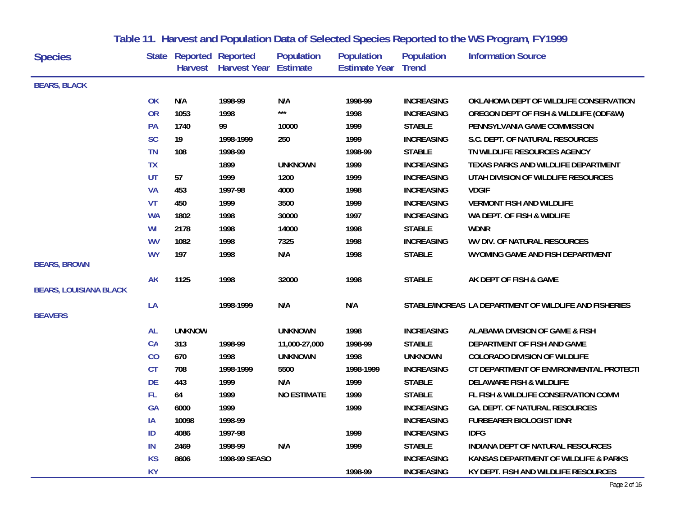| <b>Species</b>                |           | State Reported Reported | Harvest Harvest Year Estimate | <b>Population</b>  | <b>Population</b><br><b>Estimate Year Trend</b> | <b>Population</b> | <b>Information Source</b>                              |
|-------------------------------|-----------|-------------------------|-------------------------------|--------------------|-------------------------------------------------|-------------------|--------------------------------------------------------|
| <b>BEARS, BLACK</b>           |           |                         |                               |                    |                                                 |                   |                                                        |
|                               | <b>OK</b> | N/A                     | 1998-99                       | N/A                | 1998-99                                         | <b>INCREASING</b> | OKLAHOMA DEPT OF WILDLIFE CONSERVATION                 |
|                               | <b>OR</b> | 1053                    | 1998                          | $***$              | 1998                                            | <b>INCREASING</b> | OREGON DEPT OF FISH & WILDLIFE (ODF&W)                 |
|                               | PA        | 1740                    | 99                            | 10000              | 1999                                            | <b>STABLE</b>     | PENNSYLVANIA GAME COMMISSION                           |
|                               | <b>SC</b> | 19                      | 1998-1999                     | 250                | 1999                                            | <b>INCREASING</b> | S.C. DEPT. OF NATURAL RESOURCES                        |
|                               | <b>TN</b> | 108                     | 1998-99                       |                    | 1998-99                                         | <b>STABLE</b>     | TN WILDLIFE RESOURCES AGENCY                           |
|                               | <b>TX</b> |                         | 1899                          | <b>UNKNOWN</b>     | 1999                                            | <b>INCREASING</b> | TEXAS PARKS AND WILDLIFE DEPARTMENT                    |
|                               | UT        | 57                      | 1999                          | 1200               | 1999                                            | <b>INCREASING</b> | UTAH DIVISION OF WILDLIFE RESOURCES                    |
|                               | <b>VA</b> | 453                     | 1997-98                       | 4000               | 1998                                            | <b>INCREASING</b> | <b>VDGIF</b>                                           |
|                               | <b>VT</b> | 450                     | 1999                          | 3500               | 1999                                            | <b>INCREASING</b> | <b>VERMONT FISH AND WILDLIFE</b>                       |
|                               | <b>WA</b> | 1802                    | 1998                          | 30000              | 1997                                            | <b>INCREASING</b> | WA DEPT. OF FISH & WIDLIFE                             |
|                               | WI        | 2178                    | 1998                          | 14000              | 1998                                            | <b>STABLE</b>     | <b>WDNR</b>                                            |
|                               | <b>WV</b> | 1082                    | 1998                          | 7325               | 1998                                            | <b>INCREASING</b> | WV DIV. OF NATURAL RESOURCES                           |
|                               | <b>WY</b> | 197                     | 1998                          | N/A                | 1998                                            | <b>STABLE</b>     | WYOMING GAME AND FISH DEPARTMENT                       |
| <b>BEARS, BROWN</b>           |           |                         |                               |                    |                                                 |                   |                                                        |
| <b>BEARS, LOUISIANA BLACK</b> | <b>AK</b> | 1125                    | 1998                          | 32000              | 1998                                            | <b>STABLE</b>     | AK DEPT OF FISH & GAME                                 |
|                               |           |                         |                               |                    |                                                 |                   |                                                        |
| <b>BEAVERS</b>                | LA        |                         | 1998-1999                     | N/A                | N/A                                             |                   | STABLE/INCREAS LA DEPARTMENT OF WILDLIFE AND FISHERIES |
|                               | <b>AL</b> | <b>UNKNOW</b>           |                               | <b>UNKNOWN</b>     | 1998                                            | <b>INCREASING</b> | ALABAMA DIVISION OF GAME & FISH                        |
|                               | CA        | 313                     | 1998-99                       | 11,000-27,000      | 1998-99                                         | <b>STABLE</b>     | DEPARTMENT OF FISH AND GAME                            |
|                               | CO        | 670                     | 1998                          | <b>UNKNOWN</b>     | 1998                                            | <b>UNKNOWN</b>    | <b>COLORADO DIVISION OF WILDLIFE</b>                   |
|                               | <b>CT</b> | 708                     | 1998-1999                     | 5500               | 1998-1999                                       | <b>INCREASING</b> | CT DEPARTMENT OF ENVIRONMENTAL PROTECTI                |
|                               | <b>DE</b> | 443                     | 1999                          | N/A                | 1999                                            | <b>STABLE</b>     | <b>DELAWARE FISH &amp; WILDLIFE</b>                    |
|                               | FL.       | 64                      | 1999                          | <b>NO ESTIMATE</b> | 1999                                            | <b>STABLE</b>     | FL FISH & WILDLIFE CONSERVATION COMM                   |
|                               | <b>GA</b> | 6000                    | 1999                          |                    | 1999                                            | <b>INCREASING</b> | <b>GA. DEPT. OF NATURAL RESOURCES</b>                  |
|                               | IA        | 10098                   | 1998-99                       |                    |                                                 | <b>INCREASING</b> | <b>FURBEARER BIOLOGIST IDNR</b>                        |
|                               | ID        | 4086                    | 1997-98                       |                    | 1999                                            | <b>INCREASING</b> | <b>IDFG</b>                                            |
|                               | IN        | 2469                    | 1998-99                       | N/A                | 1999                                            | <b>STABLE</b>     | INDIANA DEPT OF NATURAL RESOURCES                      |
|                               | <b>KS</b> | 8606                    | 1998-99 SEASO                 |                    |                                                 | <b>INCREASING</b> | KANSAS DEPARTMENT OF WILDLIFE & PARKS                  |
|                               | <b>KY</b> |                         |                               |                    | 1998-99                                         | <b>INCREASING</b> | KY DEPT. FISH AND WILDLIFE RESOURCES                   |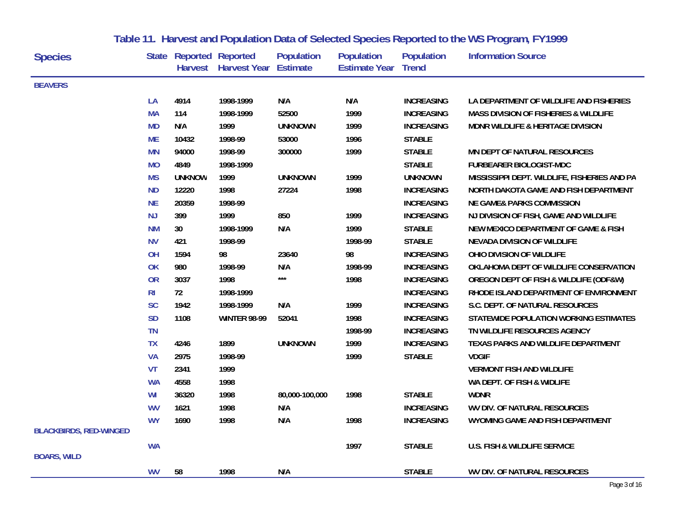| <b>Species</b>                |                | <b>State Reported Reported</b> | Harvest Harvest Year | <b>Population</b><br><b>Estimate</b> | <b>Population</b><br><b>Estimate Year Trend</b> | <b>Population</b> | <b>Information Source</b>                        |
|-------------------------------|----------------|--------------------------------|----------------------|--------------------------------------|-------------------------------------------------|-------------------|--------------------------------------------------|
| <b>BEAVERS</b>                |                |                                |                      |                                      |                                                 |                   |                                                  |
|                               | LA             | 4914                           | 1998-1999            | N/A                                  | N/A                                             | <b>INCREASING</b> | LA DEPARTMENT OF WILDLIFE AND FISHERIES          |
|                               | <b>MA</b>      | 114                            | 1998-1999            | 52500                                | 1999                                            | <b>INCREASING</b> | <b>MASS DIVISION OF FISHERIES &amp; WILDLIFE</b> |
|                               | <b>MD</b>      | N/A                            | 1999                 | <b>UNKNOWN</b>                       | 1999                                            | <b>INCREASING</b> | MDNR WILDLIFE & HERITAGE DIVISION                |
|                               | <b>ME</b>      | 10432                          | 1998-99              | 53000                                | 1996                                            | <b>STABLE</b>     |                                                  |
|                               | <b>MN</b>      | 94000                          | 1998-99              | 300000                               | 1999                                            | <b>STABLE</b>     | MN DEPT OF NATURAL RESOURCES                     |
|                               | <b>MO</b>      | 4849                           | 1998-1999            |                                      |                                                 | <b>STABLE</b>     | FURBEARER BIOLOGIST-MDC                          |
|                               | <b>MS</b>      | <b>UNKNOW</b>                  | 1999                 | <b>UNKNOWN</b>                       | 1999                                            | <b>UNKNOWN</b>    | MISSISSIPPI DEPT. WILDLIFE, FISHERIES AND PA     |
|                               | <b>ND</b>      | 12220                          | 1998                 | 27224                                | 1998                                            | <b>INCREASING</b> | NORTH DAKOTA GAME AND FISH DEPARTMENT            |
|                               | <b>NE</b>      | 20359                          | 1998-99              |                                      |                                                 | <b>INCREASING</b> | <b>NE GAME&amp; PARKS COMMISSION</b>             |
|                               | NJ             | 399                            | 1999                 | 850                                  | 1999                                            | <b>INCREASING</b> | NJ DIVISION OF FISH, GAME AND WILDLIFE           |
|                               | <b>NM</b>      | 30 <sup>°</sup>                | 1998-1999            | N/A                                  | 1999                                            | <b>STABLE</b>     | NEW MEXICO DEPARTMENT OF GAME & FISH             |
|                               | <b>NV</b>      | 421                            | 1998-99              |                                      | 1998-99                                         | <b>STABLE</b>     | <b>NEVADA DIVISION OF WILDLIFE</b>               |
|                               | OH             | 1594                           | 98                   | 23640                                | 98                                              | <b>INCREASING</b> | OHIO DIVISION OF WILDLIFE                        |
|                               | <b>OK</b>      | 980                            | 1998-99              | N/A                                  | 1998-99                                         | <b>INCREASING</b> | OKLAHOMA DEPT OF WILDLIFE CONSERVATION           |
|                               | <b>OR</b>      | 3037                           | 1998                 | $***$                                | 1998                                            | <b>INCREASING</b> | OREGON DEPT OF FISH & WILDLIFE (ODF&W)           |
|                               | R <sub>l</sub> | 72                             | 1998-1999            |                                      |                                                 | <b>INCREASING</b> | RHODE ISLAND DEPARTMENT OF ENVIRONMENT           |
|                               | <b>SC</b>      | 1942                           | 1998-1999            | N/A                                  | 1999                                            | <b>INCREASING</b> | S.C. DEPT. OF NATURAL RESOURCES                  |
|                               | <b>SD</b>      | 1108                           | <b>WINTER 98-99</b>  | 52041                                | 1998                                            | <b>INCREASING</b> | STATEWIDE POPULATION WORKING ESTIMATES           |
|                               | <b>TN</b>      |                                |                      |                                      | 1998-99                                         | <b>INCREASING</b> | TN WILDLIFE RESOURCES AGENCY                     |
|                               | <b>TX</b>      | 4246                           | 1899                 | <b>UNKNOWN</b>                       | 1999                                            | <b>INCREASING</b> | TEXAS PARKS AND WILDLIFE DEPARTMENT              |
|                               | <b>VA</b>      | 2975                           | 1998-99              |                                      | 1999                                            | <b>STABLE</b>     | <b>VDGIF</b>                                     |
|                               | <b>VT</b>      | 2341                           | 1999                 |                                      |                                                 |                   | <b>VERMONT FISH AND WILDLIFE</b>                 |
|                               | <b>WA</b>      | 4558                           | 1998                 |                                      |                                                 |                   | WA DEPT. OF FISH & WIDLIFE                       |
|                               | WI             | 36320                          | 1998                 | 80,000-100,000                       | 1998                                            | <b>STABLE</b>     | <b>WDNR</b>                                      |
|                               | <b>WV</b>      | 1621                           | 1998                 | N/A                                  |                                                 | <b>INCREASING</b> | WV DIV. OF NATURAL RESOURCES                     |
|                               | <b>WY</b>      | 1690                           | 1998                 | N/A                                  | 1998                                            | <b>INCREASING</b> | WYOMING GAME AND FISH DEPARTMENT                 |
| <b>BLACKBIRDS, RED-WINGED</b> |                |                                |                      |                                      |                                                 |                   |                                                  |
|                               | <b>WA</b>      |                                |                      |                                      | 1997                                            | <b>STABLE</b>     | <b>U.S. FISH &amp; WILDLIFE SERVICE</b>          |
| <b>BOARS, WILD</b>            |                |                                |                      |                                      |                                                 |                   |                                                  |
|                               | <b>WV</b>      | 58                             | 1998                 | N/A                                  |                                                 | <b>STABLE</b>     | WV DIV. OF NATURAL RESOURCES                     |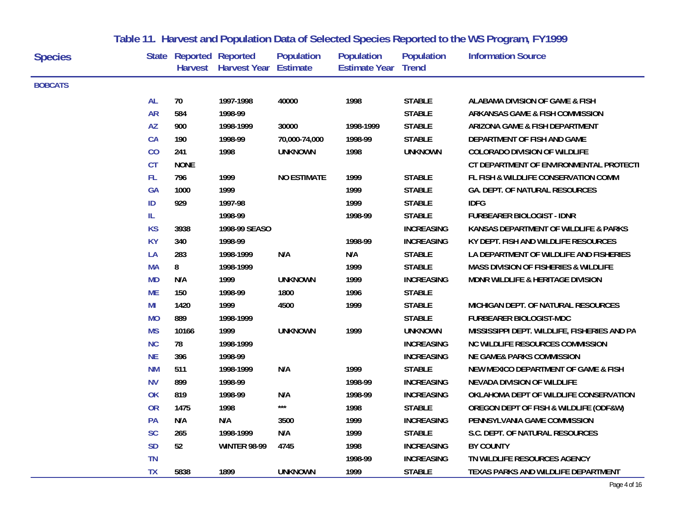| <b>Species</b> |           | <b>State Reported Reported</b> | Harvest Harvest Year Estimate | <b>Population</b>  | <b>Population</b><br><b>Estimate Year Trend</b> | <b>Population</b> | <b>Information Source</b>                        |
|----------------|-----------|--------------------------------|-------------------------------|--------------------|-------------------------------------------------|-------------------|--------------------------------------------------|
| <b>BOBCATS</b> |           |                                |                               |                    |                                                 |                   |                                                  |
|                | <b>AL</b> | 70                             | 1997-1998                     | 40000              | 1998                                            | <b>STABLE</b>     | ALABAMA DIVISION OF GAME & FISH                  |
|                | <b>AR</b> | 584                            | 1998-99                       |                    |                                                 | <b>STABLE</b>     | <b>ARKANSAS GAME &amp; FISH COMMISSION</b>       |
|                | <b>AZ</b> | 900                            | 1998-1999                     | 30000              | 1998-1999                                       | <b>STABLE</b>     | ARIZONA GAME & FISH DEPARTMENT                   |
|                | CA        | 190                            | 1998-99                       | 70,000-74,000      | 1998-99                                         | <b>STABLE</b>     | DEPARTMENT OF FISH AND GAME                      |
|                | CO        | 241                            | 1998                          | <b>UNKNOWN</b>     | 1998                                            | <b>UNKNOWN</b>    | <b>COLORADO DIVISION OF WILDLIFE</b>             |
|                | <b>CT</b> | <b>NONE</b>                    |                               |                    |                                                 |                   | CT DEPARTMENT OF ENVIRONMENTAL PROTECTI          |
|                | FL.       | 796                            | 1999                          | <b>NO ESTIMATE</b> | 1999                                            | <b>STABLE</b>     | FL FISH & WILDLIFE CONSERVATION COMM             |
|                | <b>GA</b> | 1000                           | 1999                          |                    | 1999                                            | <b>STABLE</b>     | GA. DEPT. OF NATURAL RESOURCES                   |
|                | ID        | 929                            | 1997-98                       |                    | 1999                                            | <b>STABLE</b>     | <b>IDFG</b>                                      |
|                | IL.       |                                | 1998-99                       |                    | 1998-99                                         | <b>STABLE</b>     | <b>FURBEARER BIOLOGIST - IDNR</b>                |
|                | <b>KS</b> | 3938                           | 1998-99 SEASO                 |                    |                                                 | <b>INCREASING</b> | KANSAS DEPARTMENT OF WILDLIFE & PARKS            |
|                | <b>KY</b> | 340                            | 1998-99                       |                    | 1998-99                                         | <b>INCREASING</b> | KY DEPT. FISH AND WILDLIFE RESOURCES             |
|                | LA        | 283                            | 1998-1999                     | N/A                | N/A                                             | <b>STABLE</b>     | LA DEPARTMENT OF WILDLIFE AND FISHERIES          |
|                | <b>MA</b> | 8                              | 1998-1999                     |                    | 1999                                            | <b>STABLE</b>     | <b>MASS DIVISION OF FISHERIES &amp; WILDLIFE</b> |
|                | <b>MD</b> | N/A                            | 1999                          | <b>UNKNOWN</b>     | 1999                                            | <b>INCREASING</b> | MDNR WILDLIFE & HERITAGE DIVISION                |
|                | <b>ME</b> | 150                            | 1998-99                       | 1800               | 1996                                            | <b>STABLE</b>     |                                                  |
|                | MI        | 1420                           | 1999                          | 4500               | 1999                                            | <b>STABLE</b>     | MICHIGAN DEPT. OF NATURAL RESOURCES              |
|                | <b>MO</b> | 889                            | 1998-1999                     |                    |                                                 | <b>STABLE</b>     | FURBEARER BIOLOGIST-MDC                          |
|                | <b>MS</b> | 10166                          | 1999                          | <b>UNKNOWN</b>     | 1999                                            | <b>UNKNOWN</b>    | MISSISSIPPI DEPT. WILDLIFE, FISHERIES AND PA     |
|                | <b>NC</b> | 78                             | 1998-1999                     |                    |                                                 | <b>INCREASING</b> | <b>NC WILDLIFE RESOURCES COMMISSION</b>          |
|                | <b>NE</b> | 396                            | 1998-99                       |                    |                                                 | <b>INCREASING</b> | <b>NE GAME&amp; PARKS COMMISSION</b>             |
|                | <b>NM</b> | 511                            | 1998-1999                     | N/A                | 1999                                            | <b>STABLE</b>     | NEW MEXICO DEPARTMENT OF GAME & FISH             |
|                | <b>NV</b> | 899                            | 1998-99                       |                    | 1998-99                                         | <b>INCREASING</b> | <b>NEVADA DIVISION OF WILDLIFE</b>               |
|                | OK        | 819                            | 1998-99                       | N/A                | 1998-99                                         | <b>INCREASING</b> | OKLAHOMA DEPT OF WILDLIFE CONSERVATION           |
|                | <b>OR</b> | 1475                           | 1998                          | ***                | 1998                                            | <b>STABLE</b>     | OREGON DEPT OF FISH & WILDLIFE (ODF&W)           |
|                | PA        | N/A                            | N/A                           | 3500               | 1999                                            | <b>INCREASING</b> | PENNSYLVANIA GAME COMMISSION                     |
|                | <b>SC</b> | 265                            | 1998-1999                     | N/A                | 1999                                            | <b>STABLE</b>     | S.C. DEPT. OF NATURAL RESOURCES                  |
|                | <b>SD</b> | 52                             | <b>WINTER 98-99</b>           | 4745               | 1998                                            | <b>INCREASING</b> | <b>BY COUNTY</b>                                 |
|                | <b>TN</b> |                                |                               |                    | 1998-99                                         | <b>INCREASING</b> | TN WILDLIFE RESOURCES AGENCY                     |
|                | <b>TX</b> | 5838                           | 1899                          | <b>UNKNOWN</b>     | 1999                                            | <b>STABLE</b>     | TEXAS PARKS AND WILDLIFE DEPARTMENT              |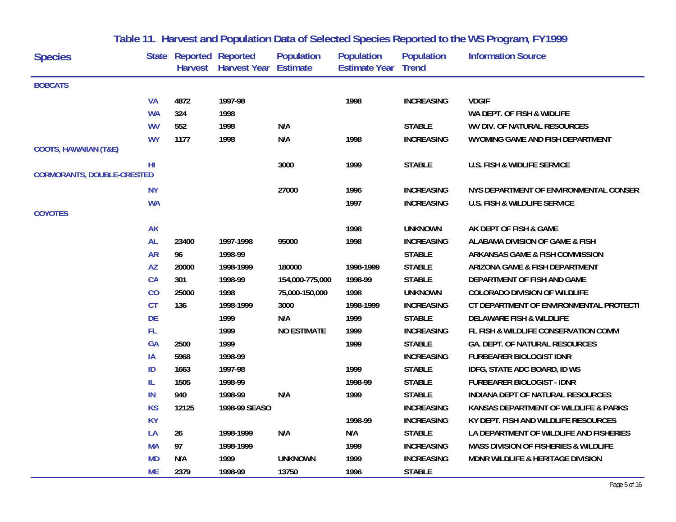| <b>Species</b>                    |           | <b>State Reported Reported</b> | Harvest Harvest Year Estimate | <b>Population</b>  | <b>Population</b><br><b>Estimate Year Trend</b> | <b>Population</b> | <b>Information Source</b>                        |
|-----------------------------------|-----------|--------------------------------|-------------------------------|--------------------|-------------------------------------------------|-------------------|--------------------------------------------------|
| <b>BOBCATS</b>                    |           |                                |                               |                    |                                                 |                   |                                                  |
|                                   | <b>VA</b> | 4872                           | 1997-98                       |                    | 1998                                            | <b>INCREASING</b> | <b>VDGIF</b>                                     |
|                                   | <b>WA</b> | 324                            | 1998                          |                    |                                                 |                   | WA DEPT. OF FISH & WIDLIFE                       |
|                                   | <b>WV</b> | 552                            | 1998                          | N/A                |                                                 | <b>STABLE</b>     | WV DIV. OF NATURAL RESOURCES                     |
|                                   | <b>WY</b> | 1177                           | 1998                          | N/A                | 1998                                            | <b>INCREASING</b> | WYOMING GAME AND FISH DEPARTMENT                 |
| <b>COOTS, HAWAIIAN (T&amp;E)</b>  |           |                                |                               |                    |                                                 |                   |                                                  |
|                                   | HI        |                                |                               | 3000               | 1999                                            | <b>STABLE</b>     | <b>U.S. FISH &amp; WIDLIFE SERVICE</b>           |
| <b>CORMORANTS, DOUBLE-CRESTED</b> |           |                                |                               |                    |                                                 |                   |                                                  |
|                                   | <b>NY</b> |                                |                               | 27000              | 1996                                            | <b>INCREASING</b> | NYS DEPARTMENT OF ENVIRONMENTAL CONSER           |
|                                   | <b>WA</b> |                                |                               |                    | 1997                                            | <b>INCREASING</b> | U.S. FISH & WILDLIFE SERVICE                     |
| <b>COYOTES</b>                    |           |                                |                               |                    |                                                 |                   |                                                  |
|                                   | <b>AK</b> |                                |                               |                    | 1998                                            | <b>UNKNOWN</b>    | AK DEPT OF FISH & GAME                           |
|                                   | <b>AL</b> | 23400                          | 1997-1998                     | 95000              | 1998                                            | <b>INCREASING</b> | ALABAMA DIVISION OF GAME & FISH                  |
|                                   | <b>AR</b> | 96                             | 1998-99                       |                    |                                                 | <b>STABLE</b>     | ARKANSAS GAME & FISH COMMISSION                  |
|                                   | <b>AZ</b> | 20000                          | 1998-1999                     | 180000             | 1998-1999                                       | <b>STABLE</b>     | ARIZONA GAME & FISH DEPARTMENT                   |
|                                   | CA        | 301                            | 1998-99                       | 154,000-775,000    | 1998-99                                         | <b>STABLE</b>     | DEPARTMENT OF FISH AND GAME                      |
|                                   | CO        | 25000                          | 1998                          | 75,000-150,000     | 1998                                            | <b>UNKNOWN</b>    | <b>COLORADO DIVISION OF WILDLIFE</b>             |
|                                   | <b>CT</b> | 136                            | 1998-1999                     | 3000               | 1998-1999                                       | <b>INCREASING</b> | CT DEPARTMENT OF ENVIRONMENTAL PROTECTI          |
|                                   | <b>DE</b> |                                | 1999                          | N/A                | 1999                                            | <b>STABLE</b>     | <b>DELAWARE FISH &amp; WILDLIFE</b>              |
|                                   | FL.       |                                | 1999                          | <b>NO ESTIMATE</b> | 1999                                            | <b>INCREASING</b> | FL FISH & WILDLIFE CONSERVATION COMM             |
|                                   | <b>GA</b> | 2500                           | 1999                          |                    | 1999                                            | <b>STABLE</b>     | GA. DEPT. OF NATURAL RESOURCES                   |
|                                   | IA        | 5968                           | 1998-99                       |                    |                                                 | <b>INCREASING</b> | <b>FURBEARER BIOLOGIST IDNR</b>                  |
|                                   | ID        | 1663                           | 1997-98                       |                    | 1999                                            | <b>STABLE</b>     | IDFG, STATE ADC BOARD, ID WS                     |
|                                   | IL        | 1505                           | 1998-99                       |                    | 1998-99                                         | <b>STABLE</b>     | <b>FURBEARER BIOLOGIST - IDNR</b>                |
|                                   | IN        | 940                            | 1998-99                       | N/A                | 1999                                            | <b>STABLE</b>     | INDIANA DEPT OF NATURAL RESOURCES                |
|                                   | <b>KS</b> | 12125                          | 1998-99 SEASO                 |                    |                                                 | <b>INCREASING</b> | KANSAS DEPARTMENT OF WILDLIFE & PARKS            |
|                                   | <b>KY</b> |                                |                               |                    | 1998-99                                         | <b>INCREASING</b> | KY DEPT. FISH AND WILDLIFE RESOURCES             |
|                                   | LA        | 26                             | 1998-1999                     | N/A                | N/A                                             | <b>STABLE</b>     | LA DEPARTMENT OF WILDLIFE AND FISHERIES          |
|                                   | <b>MA</b> | 97                             | 1998-1999                     |                    | 1999                                            | <b>INCREASING</b> | <b>MASS DIVISION OF FISHERIES &amp; WILDLIFE</b> |
|                                   | <b>MD</b> | N/A                            | 1999                          | <b>UNKNOWN</b>     | 1999                                            | <b>INCREASING</b> | MDNR WILDLIFE & HERITAGE DIVISION                |
|                                   | <b>ME</b> | 2379                           | 1998-99                       | 13750              | 1996                                            | <b>STABLE</b>     |                                                  |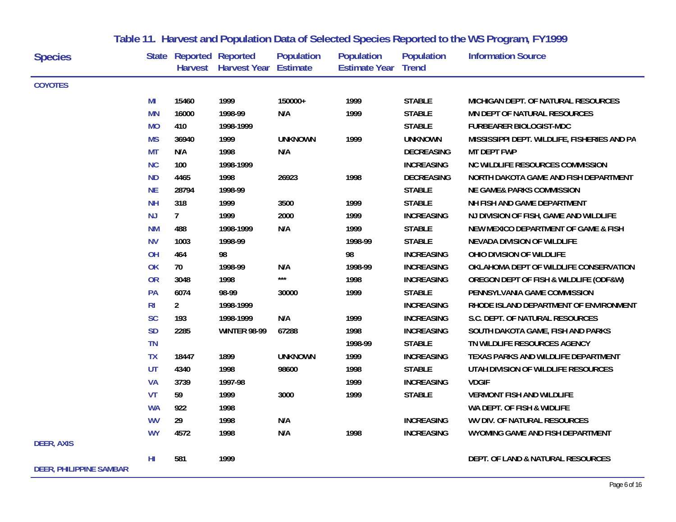| <b>Species</b>                 |                 | <b>State Reported Reported</b> | Harvest Harvest Year | <b>Population</b><br><b>Estimate</b> | <b>Population</b><br><b>Estimate Year Trend</b> | <b>Population</b> | <b>Information Source</b>                    |
|--------------------------------|-----------------|--------------------------------|----------------------|--------------------------------------|-------------------------------------------------|-------------------|----------------------------------------------|
| <b>COYOTES</b>                 |                 |                                |                      |                                      |                                                 |                   |                                              |
|                                | MI              | 15460                          | 1999                 | 150000+                              | 1999                                            | <b>STABLE</b>     | MICHIGAN DEPT. OF NATURAL RESOURCES          |
|                                | <b>MN</b>       | 16000                          | 1998-99              | N/A                                  | 1999                                            | <b>STABLE</b>     | MN DEPT OF NATURAL RESOURCES                 |
|                                | <b>MO</b>       | 410                            | 1998-1999            |                                      |                                                 | <b>STABLE</b>     | <b>FURBEARER BIOLOGIST-MDC</b>               |
|                                | <b>MS</b>       | 36940                          | 1999                 | <b>UNKNOWN</b>                       | 1999                                            | <b>UNKNOWN</b>    | MISSISSIPPI DEPT. WILDLIFE, FISHERIES AND PA |
|                                | <b>MT</b>       | N/A                            | 1998                 | N/A                                  |                                                 | <b>DECREASING</b> | <b>MT DEPT FWP</b>                           |
|                                | <b>NC</b>       | 100                            | 1998-1999            |                                      |                                                 | <b>INCREASING</b> | <b>NC WILDLIFE RESOURCES COMMISSION</b>      |
|                                | <b>ND</b>       | 4465                           | 1998                 | 26923                                | 1998                                            | <b>DECREASING</b> | NORTH DAKOTA GAME AND FISH DEPARTMENT        |
|                                | <b>NE</b>       | 28794                          | 1998-99              |                                      |                                                 | <b>STABLE</b>     | <b>NE GAME&amp; PARKS COMMISSION</b>         |
|                                | <b>NH</b>       | 318                            | 1999                 | 3500                                 | 1999                                            | <b>STABLE</b>     | NH FISH AND GAME DEPARTMENT                  |
|                                | <b>NJ</b>       | $\overline{7}$                 | 1999                 | 2000                                 | 1999                                            | <b>INCREASING</b> | NJ DIVISION OF FISH, GAME AND WILDLIFE       |
|                                | <b>NM</b>       | 488                            | 1998-1999            | N/A                                  | 1999                                            | <b>STABLE</b>     | NEW MEXICO DEPARTMENT OF GAME & FISH         |
|                                | <b>NV</b>       | 1003                           | 1998-99              |                                      | 1998-99                                         | <b>STABLE</b>     | <b>NEVADA DIVISION OF WILDLIFE</b>           |
|                                | OH              | 464                            | 98                   |                                      | 98                                              | <b>INCREASING</b> | OHIO DIVISION OF WILDLIFE                    |
|                                | OK              | 70                             | 1998-99              | N/A                                  | 1998-99                                         | <b>INCREASING</b> | OKLAHOMA DEPT OF WILDLIFE CONSERVATION       |
|                                | <b>OR</b>       | 3048                           | 1998                 | ***                                  | 1998                                            | <b>INCREASING</b> | OREGON DEPT OF FISH & WILDLIFE (ODF&W)       |
|                                | PA              | 6074                           | 98-99                | 30000                                | 1999                                            | <b>STABLE</b>     | PENNSYLVANIA GAME COMMISSION                 |
|                                | R <sub>l</sub>  | $\overline{2}$                 | 1998-1999            |                                      |                                                 | <b>INCREASING</b> | RHODE ISLAND DEPARTMENT OF ENVIRONMENT       |
|                                | <b>SC</b>       | 193                            | 1998-1999            | N/A                                  | 1999                                            | <b>INCREASING</b> | S.C. DEPT. OF NATURAL RESOURCES              |
|                                | <b>SD</b>       | 2285                           | <b>WINTER 98-99</b>  | 67288                                | 1998                                            | <b>INCREASING</b> | SOUTH DAKOTA GAME, FISH AND PARKS            |
|                                | <b>TN</b>       |                                |                      |                                      | 1998-99                                         | <b>STABLE</b>     | TN WILDLIFE RESOURCES AGENCY                 |
|                                | <b>TX</b>       | 18447                          | 1899                 | <b>UNKNOWN</b>                       | 1999                                            | <b>INCREASING</b> | TEXAS PARKS AND WILDLIFE DEPARTMENT          |
|                                | UT              | 4340                           | 1998                 | 98600                                | 1998                                            | <b>STABLE</b>     | UTAH DIVISION OF WILDLIFE RESOURCES          |
|                                | <b>VA</b>       | 3739                           | 1997-98              |                                      | 1999                                            | <b>INCREASING</b> | <b>VDGIF</b>                                 |
|                                | VT              | 59                             | 1999                 | 3000                                 | 1999                                            | <b>STABLE</b>     | <b>VERMONT FISH AND WILDLIFE</b>             |
|                                | <b>WA</b>       | 922                            | 1998                 |                                      |                                                 |                   | WA DEPT. OF FISH & WIDLIFE                   |
|                                | <b>WV</b>       | 29                             | 1998                 | N/A                                  |                                                 | <b>INCREASING</b> | WV DIV. OF NATURAL RESOURCES                 |
|                                | <b>WY</b>       | 4572                           | 1998                 | N/A                                  | 1998                                            | <b>INCREASING</b> | WYOMING GAME AND FISH DEPARTMENT             |
| <b>DEER, AXIS</b>              |                 |                                |                      |                                      |                                                 |                   |                                              |
|                                | H <sub>II</sub> | 581                            | 1999                 |                                      |                                                 |                   | DEPT. OF LAND & NATURAL RESOURCES            |
| <b>DEER, PHILIPPINE SAMBAR</b> |                 |                                |                      |                                      |                                                 |                   |                                              |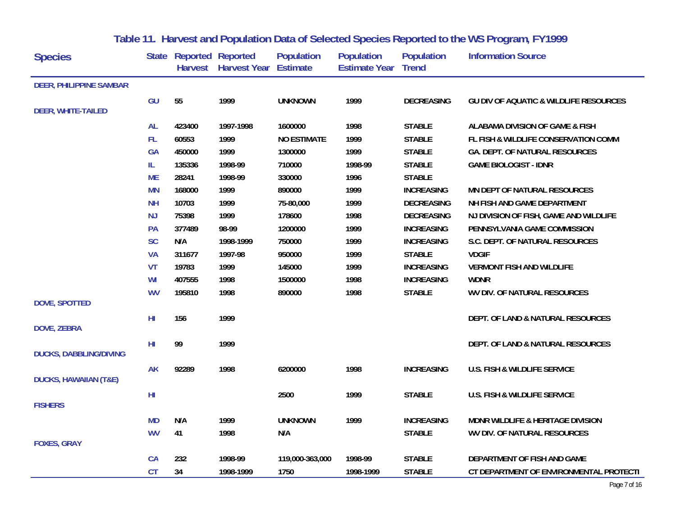| <b>Species</b>                   |           | State Reported Reported<br><b>Harvest</b> | <b>Harvest Year Estimate</b> | <b>Population</b>  | <b>Population</b><br><b>Estimate Year</b> | <b>Population</b><br><b>Trend</b> | <b>Information Source</b>                         |
|----------------------------------|-----------|-------------------------------------------|------------------------------|--------------------|-------------------------------------------|-----------------------------------|---------------------------------------------------|
| <b>DEER, PHILIPPINE SAMBAR</b>   |           |                                           |                              |                    |                                           |                                   |                                                   |
|                                  | GU        | 55                                        | 1999                         | <b>UNKNOWN</b>     | 1999                                      | <b>DECREASING</b>                 | <b>GU DIV OF AQUATIC &amp; WILDLIFE RESOURCES</b> |
| <b>DEER, WHITE-TAILED</b>        |           |                                           |                              |                    |                                           |                                   |                                                   |
|                                  | <b>AL</b> | 423400                                    | 1997-1998                    | 1600000            | 1998                                      | <b>STABLE</b>                     | ALABAMA DIVISION OF GAME & FISH                   |
|                                  | FL.       | 60553                                     | 1999                         | <b>NO ESTIMATE</b> | 1999                                      | <b>STABLE</b>                     | FL FISH & WILDLIFE CONSERVATION COMM              |
|                                  | <b>GA</b> | 450000                                    | 1999                         | 1300000            | 1999                                      | <b>STABLE</b>                     | GA. DEPT. OF NATURAL RESOURCES                    |
|                                  | IL.       | 135336                                    | 1998-99                      | 710000             | 1998-99                                   | <b>STABLE</b>                     | <b>GAME BIOLOGIST - IDNR</b>                      |
|                                  | <b>ME</b> | 28241                                     | 1998-99                      | 330000             | 1996                                      | <b>STABLE</b>                     |                                                   |
|                                  | <b>MN</b> | 168000                                    | 1999                         | 890000             | 1999                                      | <b>INCREASING</b>                 | MN DEPT OF NATURAL RESOURCES                      |
|                                  | <b>NH</b> | 10703                                     | 1999                         | 75-80,000          | 1999                                      | <b>DECREASING</b>                 | NH FISH AND GAME DEPARTMENT                       |
|                                  | <b>NJ</b> | 75398                                     | 1999                         | 178600             | 1998                                      | <b>DECREASING</b>                 | NJ DIVISION OF FISH, GAME AND WILDLIFE            |
|                                  | PA        | 377489                                    | 98-99                        | 1200000            | 1999                                      | <b>INCREASING</b>                 | PENNSYLVANIA GAME COMMISSION                      |
|                                  | <b>SC</b> | N/A                                       | 1998-1999                    | 750000             | 1999                                      | <b>INCREASING</b>                 | S.C. DEPT. OF NATURAL RESOURCES                   |
|                                  | <b>VA</b> | 311677                                    | 1997-98                      | 950000             | 1999                                      | <b>STABLE</b>                     | <b>VDGIF</b>                                      |
|                                  | VT        | 19783                                     | 1999                         | 145000             | 1999                                      | <b>INCREASING</b>                 | <b>VERMONT FISH AND WILDLIFE</b>                  |
|                                  | WI        | 407555                                    | 1998                         | 1500000            | 1998                                      | <b>INCREASING</b>                 | <b>WDNR</b>                                       |
|                                  | <b>WV</b> | 195810                                    | 1998                         | 890000             | 1998                                      | <b>STABLE</b>                     | WV DIV. OF NATURAL RESOURCES                      |
| <b>DOVE, SPOTTED</b>             |           |                                           |                              |                    |                                           |                                   |                                                   |
|                                  | HI        | 156                                       | 1999                         |                    |                                           |                                   | DEPT. OF LAND & NATURAL RESOURCES                 |
| <b>DOVE, ZEBRA</b>               |           |                                           |                              |                    |                                           |                                   |                                                   |
|                                  | HI        | 99                                        | 1999                         |                    |                                           |                                   | DEPT. OF LAND & NATURAL RESOURCES                 |
| <b>DUCKS, DABBLING/DIVING</b>    |           |                                           |                              |                    |                                           |                                   |                                                   |
|                                  | <b>AK</b> | 92289                                     | 1998                         | 6200000            | 1998                                      | <b>INCREASING</b>                 | U.S. FISH & WILDLIFE SERVICE                      |
| <b>DUCKS, HAWAIIAN (T&amp;E)</b> |           |                                           |                              |                    |                                           |                                   |                                                   |
|                                  | HI        |                                           |                              | 2500               | 1999                                      | <b>STABLE</b>                     | <b>U.S. FISH &amp; WILDLIFE SERVICE</b>           |
| <b>FISHERS</b>                   |           |                                           |                              |                    |                                           |                                   |                                                   |
|                                  | <b>MD</b> | N/A                                       | 1999                         | <b>UNKNOWN</b>     | 1999                                      | <b>INCREASING</b>                 | MDNR WILDLIFE & HERITAGE DIVISION                 |
|                                  | <b>WV</b> | 41                                        | 1998                         | N/A                |                                           | <b>STABLE</b>                     | WV DIV. OF NATURAL RESOURCES                      |
| <b>FOXES, GRAY</b>               |           |                                           |                              |                    |                                           |                                   |                                                   |
|                                  | CA        | 232                                       | 1998-99                      | 119,000-363,000    | 1998-99                                   | <b>STABLE</b>                     | DEPARTMENT OF FISH AND GAME                       |
|                                  | <b>CT</b> | 34                                        | 1998-1999                    | 1750               | 1998-1999                                 | <b>STABLE</b>                     | CT DEPARTMENT OF ENVIRONMENTAL PROTECTI           |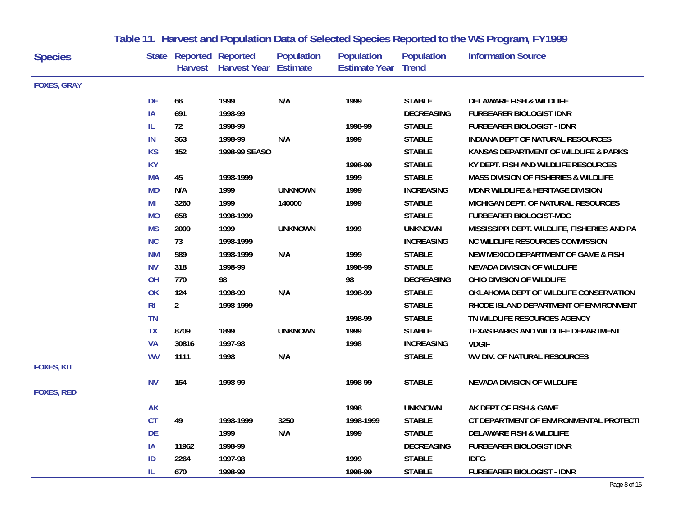| <b>Species</b>     |                | <b>State Reported Reported</b> | Harvest Harvest Year | <b>Population</b><br><b>Estimate</b> | <b>Population</b><br><b>Estimate Year Trend</b> | <b>Population</b> | <b>Information Source</b>                        |
|--------------------|----------------|--------------------------------|----------------------|--------------------------------------|-------------------------------------------------|-------------------|--------------------------------------------------|
|                    |                |                                |                      |                                      |                                                 |                   |                                                  |
| <b>FOXES, GRAY</b> |                |                                |                      |                                      |                                                 |                   |                                                  |
|                    | <b>DE</b>      | 66                             | 1999                 | N/A                                  | 1999                                            | <b>STABLE</b>     | <b>DELAWARE FISH &amp; WILDLIFE</b>              |
|                    | IA             | 691                            | 1998-99              |                                      |                                                 | <b>DECREASING</b> | <b>FURBEARER BIOLOGIST IDNR</b>                  |
|                    | IL.            | 72                             | 1998-99              |                                      | 1998-99                                         | <b>STABLE</b>     | <b>FURBEARER BIOLOGIST - IDNR</b>                |
|                    | IN             | 363                            | 1998-99              | N/A                                  | 1999                                            | <b>STABLE</b>     | INDIANA DEPT OF NATURAL RESOURCES                |
|                    | <b>KS</b>      | 152                            | 1998-99 SEASO        |                                      |                                                 | <b>STABLE</b>     | KANSAS DEPARTMENT OF WILDLIFE & PARKS            |
|                    | <b>KY</b>      |                                |                      |                                      | 1998-99                                         | <b>STABLE</b>     | KY DEPT. FISH AND WILDLIFE RESOURCES             |
|                    | <b>MA</b>      | 45                             | 1998-1999            |                                      | 1999                                            | <b>STABLE</b>     | <b>MASS DIVISION OF FISHERIES &amp; WILDLIFE</b> |
|                    | <b>MD</b>      | N/A                            | 1999                 | <b>UNKNOWN</b>                       | 1999                                            | <b>INCREASING</b> | <b>MDNR WILDLIFE &amp; HERITAGE DIVISION</b>     |
|                    | MI             | 3260                           | 1999                 | 140000                               | 1999                                            | <b>STABLE</b>     | MICHIGAN DEPT. OF NATURAL RESOURCES              |
|                    | <b>MO</b>      | 658                            | 1998-1999            |                                      |                                                 | <b>STABLE</b>     | FURBEARER BIOLOGIST-MDC                          |
|                    | <b>MS</b>      | 2009                           | 1999                 | <b>UNKNOWN</b>                       | 1999                                            | <b>UNKNOWN</b>    | MISSISSIPPI DEPT. WILDLIFE, FISHERIES AND PA     |
|                    | <b>NC</b>      | 73                             | 1998-1999            |                                      |                                                 | <b>INCREASING</b> | NC WILDLIFE RESOURCES COMMISSION                 |
|                    | <b>NM</b>      | 589                            | 1998-1999            | N/A                                  | 1999                                            | <b>STABLE</b>     | NEW MEXICO DEPARTMENT OF GAME & FISH             |
|                    | <b>NV</b>      | 318                            | 1998-99              |                                      | 1998-99                                         | <b>STABLE</b>     | <b>NEVADA DIVISION OF WILDLIFE</b>               |
|                    | OH             | 770                            | 98                   |                                      | 98                                              | <b>DECREASING</b> | OHIO DIVISION OF WILDLIFE                        |
|                    | OK             | 124                            | 1998-99              | N/A                                  | 1998-99                                         | <b>STABLE</b>     | OKLAHOMA DEPT OF WILDLIFE CONSERVATION           |
|                    | R <sub>l</sub> | 2 <sup>7</sup>                 | 1998-1999            |                                      |                                                 | <b>STABLE</b>     | RHODE ISLAND DEPARTMENT OF ENVIRONMENT           |
|                    | <b>TN</b>      |                                |                      |                                      | 1998-99                                         | <b>STABLE</b>     | TN WILDLIFE RESOURCES AGENCY                     |
|                    | <b>TX</b>      | 8709                           | 1899                 | <b>UNKNOWN</b>                       | 1999                                            | <b>STABLE</b>     | TEXAS PARKS AND WILDLIFE DEPARTMENT              |
|                    | <b>VA</b>      | 30816                          | 1997-98              |                                      | 1998                                            | <b>INCREASING</b> | <b>VDGIF</b>                                     |
|                    | <b>WV</b>      | 1111                           | 1998                 | N/A                                  |                                                 | <b>STABLE</b>     | WV DIV. OF NATURAL RESOURCES                     |
| <b>FOXES, KIT</b>  |                |                                |                      |                                      |                                                 |                   |                                                  |
|                    | <b>NV</b>      | 154                            | 1998-99              |                                      | 1998-99                                         | <b>STABLE</b>     | NEVADA DIVISION OF WILDLIFE                      |
| <b>FOXES, RED</b>  |                |                                |                      |                                      |                                                 |                   |                                                  |
|                    | <b>AK</b>      |                                |                      |                                      | 1998                                            | <b>UNKNOWN</b>    | AK DEPT OF FISH & GAME                           |
|                    | <b>CT</b>      | 49                             | 1998-1999            | 3250                                 | 1998-1999                                       | <b>STABLE</b>     | CT DEPARTMENT OF ENVIRONMENTAL PROTECTI          |
|                    | DE             |                                | 1999                 | N/A                                  | 1999                                            | <b>STABLE</b>     | <b>DELAWARE FISH &amp; WILDLIFE</b>              |
|                    | IA             | 11962                          | 1998-99              |                                      |                                                 | <b>DECREASING</b> | <b>FURBEARER BIOLOGIST IDNR</b>                  |
|                    | ID             | 2264                           | 1997-98              |                                      | 1999                                            | <b>STABLE</b>     | <b>IDFG</b>                                      |
|                    | IL.            | 670                            | 1998-99              |                                      | 1998-99                                         | <b>STABLE</b>     | <b>FURBEARER BIOLOGIST - IDNR</b>                |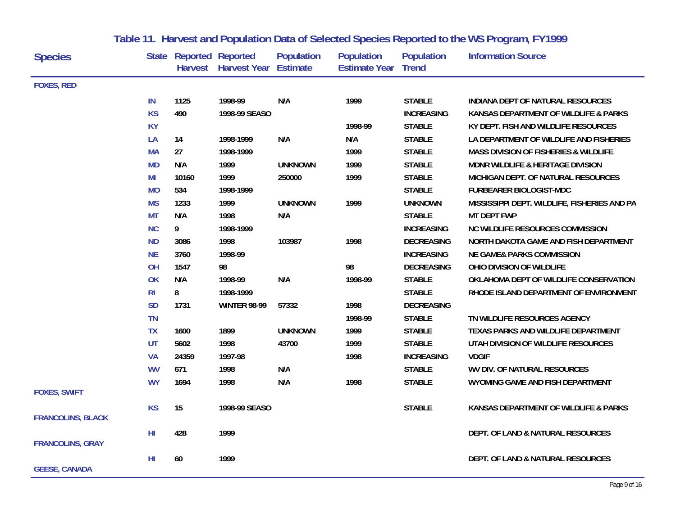| <b>Species</b>           |                 | <b>State Reported Reported</b> | Harvest Harvest Year | <b>Population</b><br><b>Estimate</b> | <b>Population</b><br><b>Estimate Year Trend</b> | <b>Population</b> | <b>Information Source</b>                        |
|--------------------------|-----------------|--------------------------------|----------------------|--------------------------------------|-------------------------------------------------|-------------------|--------------------------------------------------|
| <b>FOXES, RED</b>        |                 |                                |                      |                                      |                                                 |                   |                                                  |
|                          | IN              | 1125                           | 1998-99              | N/A                                  | 1999                                            | <b>STABLE</b>     | INDIANA DEPT OF NATURAL RESOURCES                |
|                          | <b>KS</b>       | 490                            | 1998-99 SEASO        |                                      |                                                 | <b>INCREASING</b> | KANSAS DEPARTMENT OF WILDLIFE & PARKS            |
|                          | <b>KY</b>       |                                |                      |                                      | 1998-99                                         | <b>STABLE</b>     | KY DEPT. FISH AND WILDLIFE RESOURCES             |
|                          | LA              | 14                             | 1998-1999            | N/A                                  | N/A                                             | <b>STABLE</b>     | LA DEPARTMENT OF WILDLIFE AND FISHERIES          |
|                          | <b>MA</b>       | 27                             | 1998-1999            |                                      | 1999                                            | <b>STABLE</b>     | <b>MASS DIVISION OF FISHERIES &amp; WILDLIFE</b> |
|                          | <b>MD</b>       | N/A                            | 1999                 | <b>UNKNOWN</b>                       | 1999                                            | <b>STABLE</b>     | <b>MDNR WILDLIFE &amp; HERITAGE DIVISION</b>     |
|                          | MI              | 10160                          | 1999                 | 250000                               | 1999                                            | <b>STABLE</b>     | MICHIGAN DEPT. OF NATURAL RESOURCES              |
|                          | <b>MO</b>       | 534                            | 1998-1999            |                                      |                                                 | <b>STABLE</b>     | <b>FURBEARER BIOLOGIST-MDC</b>                   |
|                          | <b>MS</b>       | 1233                           | 1999                 | <b>UNKNOWN</b>                       | 1999                                            | <b>UNKNOWN</b>    | MISSISSIPPI DEPT. WILDLIFE, FISHERIES AND PA     |
|                          | <b>MT</b>       | N/A                            | 1998                 | N/A                                  |                                                 | <b>STABLE</b>     | <b>MT DEPT FWP</b>                               |
|                          | <b>NC</b>       | 9                              | 1998-1999            |                                      |                                                 | <b>INCREASING</b> | <b>NC WILDLIFE RESOURCES COMMISSION</b>          |
|                          | <b>ND</b>       | 3086                           | 1998                 | 103987                               | 1998                                            | <b>DECREASING</b> | NORTH DAKOTA GAME AND FISH DEPARTMENT            |
|                          | <b>NE</b>       | 3760                           | 1998-99              |                                      |                                                 | <b>INCREASING</b> | <b>NE GAME&amp; PARKS COMMISSION</b>             |
|                          | OH              | 1547                           | 98                   |                                      | 98                                              | <b>DECREASING</b> | OHIO DIVISION OF WILDLIFE                        |
|                          | OK              | N/A                            | 1998-99              | N/A                                  | 1998-99                                         | <b>STABLE</b>     | OKLAHOMA DEPT OF WILDLIFE CONSERVATION           |
|                          | R <sub>l</sub>  | 8                              | 1998-1999            |                                      |                                                 | <b>STABLE</b>     | RHODE ISLAND DEPARTMENT OF ENVIRONMENT           |
|                          | <b>SD</b>       | 1731                           | <b>WINTER 98-99</b>  | 57332                                | 1998                                            | <b>DECREASING</b> |                                                  |
|                          | <b>TN</b>       |                                |                      |                                      | 1998-99                                         | <b>STABLE</b>     | TN WILDLIFE RESOURCES AGENCY                     |
|                          | <b>TX</b>       | 1600                           | 1899                 | <b>UNKNOWN</b>                       | 1999                                            | <b>STABLE</b>     | TEXAS PARKS AND WILDLIFE DEPARTMENT              |
|                          | UT              | 5602                           | 1998                 | 43700                                | 1999                                            | <b>STABLE</b>     | UTAH DIVISION OF WILDLIFE RESOURCES              |
|                          | <b>VA</b>       | 24359                          | 1997-98              |                                      | 1998                                            | <b>INCREASING</b> | <b>VDGIF</b>                                     |
|                          | <b>WV</b>       | 671                            | 1998                 | N/A                                  |                                                 | <b>STABLE</b>     | WV DIV. OF NATURAL RESOURCES                     |
|                          | <b>WY</b>       | 1694                           | 1998                 | N/A                                  | 1998                                            | <b>STABLE</b>     | WYOMING GAME AND FISH DEPARTMENT                 |
| <b>FOXES, SWIFT</b>      |                 |                                |                      |                                      |                                                 |                   |                                                  |
| <b>FRANCOLINS, BLACK</b> | <b>KS</b>       | 15                             | 1998-99 SEASO        |                                      |                                                 | <b>STABLE</b>     | KANSAS DEPARTMENT OF WILDLIFE & PARKS            |
| <b>FRANCOLINS, GRAY</b>  | H <sub>II</sub> | 428                            | 1999                 |                                      |                                                 |                   | DEPT. OF LAND & NATURAL RESOURCES                |
| <b>GEESE, CANADA</b>     | H <sub>II</sub> | 60                             | 1999                 |                                      |                                                 |                   | DEPT. OF LAND & NATURAL RESOURCES                |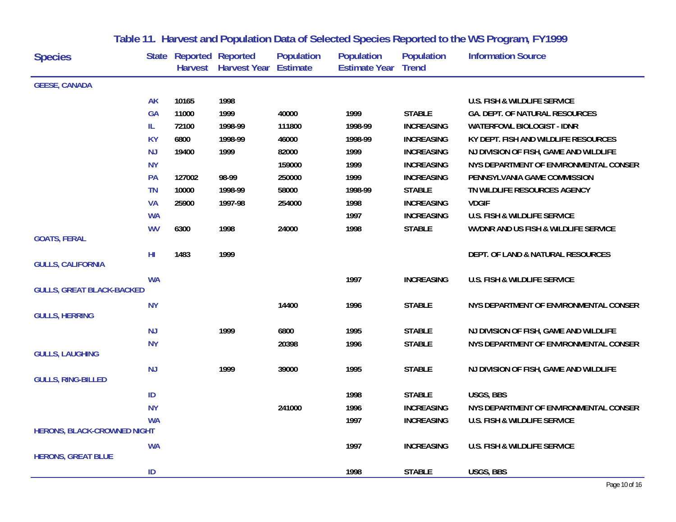| <b>Species</b>                                            |           | <b>State Reported Reported</b> | Harvest Harvest Year | <b>Population</b><br>Estimate | <b>Population</b><br><b>Estimate Year</b> | <b>Population</b><br><b>Trend</b> | <b>Information Source</b>               |
|-----------------------------------------------------------|-----------|--------------------------------|----------------------|-------------------------------|-------------------------------------------|-----------------------------------|-----------------------------------------|
| <b>GEESE, CANADA</b>                                      |           |                                |                      |                               |                                           |                                   |                                         |
|                                                           | <b>AK</b> | 10165                          | 1998                 |                               |                                           |                                   | U.S. FISH & WILDLIFE SERVICE            |
|                                                           | <b>GA</b> | 11000                          | 1999                 | 40000                         | 1999                                      | <b>STABLE</b>                     | GA. DEPT. OF NATURAL RESOURCES          |
|                                                           | IL        | 72100                          | 1998-99              | 111800                        | 1998-99                                   | <b>INCREASING</b>                 | <b>WATERFOWL BIOLOGIST - IDNR</b>       |
|                                                           | <b>KY</b> | 6800                           | 1998-99              | 46000                         | 1998-99                                   | <b>INCREASING</b>                 | KY DEPT. FISH AND WILDLIFE RESOURCES    |
|                                                           | <b>NJ</b> | 19400                          | 1999                 | 82000                         | 1999                                      | <b>INCREASING</b>                 | NJ DIVISION OF FISH, GAME AND WILDLIFE  |
|                                                           | <b>NY</b> |                                |                      | 159000                        | 1999                                      | <b>INCREASING</b>                 | NYS DEPARTMENT OF ENVIRONMENTAL CONSER  |
|                                                           | PA        | 127002                         | 98-99                | 250000                        | 1999                                      | <b>INCREASING</b>                 | PENNSYLVANIA GAME COMMISSION            |
|                                                           | <b>TN</b> | 10000                          | 1998-99              | 58000                         | 1998-99                                   | <b>STABLE</b>                     | TN WILDLIFE RESOURCES AGENCY            |
|                                                           | <b>VA</b> | 25900                          | 1997-98              | 254000                        | 1998                                      | <b>INCREASING</b>                 | <b>VDGIF</b>                            |
|                                                           | <b>WA</b> |                                |                      |                               | 1997                                      | <b>INCREASING</b>                 | <b>U.S. FISH &amp; WILDLIFE SERVICE</b> |
| <b>GOATS, FERAL</b>                                       | <b>WV</b> | 6300                           | 1998                 | 24000                         | 1998                                      | <b>STABLE</b>                     | WVDNR AND US FISH & WILDLIFE SERVICE    |
| <b>GULLS, CALIFORNIA</b>                                  | HI        | 1483                           | 1999                 |                               |                                           |                                   | DEPT. OF LAND & NATURAL RESOURCES       |
|                                                           | <b>WA</b> |                                |                      |                               | 1997                                      | <b>INCREASING</b>                 | <b>U.S. FISH &amp; WILDLIFE SERVICE</b> |
| <b>GULLS, GREAT BLACK-BACKED</b><br><b>GULLS, HERRING</b> | <b>NY</b> |                                |                      | 14400                         | 1996                                      | <b>STABLE</b>                     | NYS DEPARTMENT OF ENVIRONMENTAL CONSER  |
|                                                           | NJ        |                                | 1999                 | 6800                          | 1995                                      | <b>STABLE</b>                     | NJ DIVISION OF FISH, GAME AND WILDLIFE  |
| <b>GULLS, LAUGHING</b>                                    | <b>NY</b> |                                |                      | 20398                         | 1996                                      | <b>STABLE</b>                     | NYS DEPARTMENT OF ENVIRONMENTAL CONSER  |
| <b>GULLS, RING-BILLED</b>                                 | <b>NJ</b> |                                | 1999                 | 39000                         | 1995                                      | <b>STABLE</b>                     | NJ DIVISION OF FISH, GAME AND WILDLIFE  |
|                                                           | $\sf ID$  |                                |                      |                               | 1998                                      | <b>STABLE</b>                     | USGS, BBS                               |
|                                                           | <b>NY</b> |                                |                      | 241000                        | 1996                                      | <b>INCREASING</b>                 | NYS DEPARTMENT OF ENVIRONMENTAL CONSER  |
|                                                           | <b>WA</b> |                                |                      |                               | 1997                                      | <b>INCREASING</b>                 | U.S. FISH & WILDLIFE SERVICE            |
| <b>HERONS, BLACK-CROWNED NIGHT</b>                        |           |                                |                      |                               |                                           |                                   |                                         |
| <b>HERONS, GREAT BLUE</b>                                 | <b>WA</b> |                                |                      |                               | 1997                                      | <b>INCREASING</b>                 | U.S. FISH & WILDLIFE SERVICE            |
|                                                           | ID        |                                |                      |                               | 1998                                      | <b>STABLE</b>                     | USGS, BBS                               |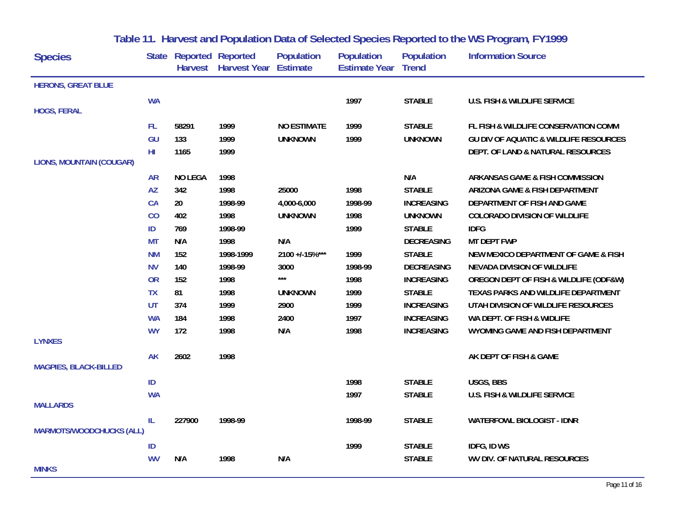| <b>Species</b>                  |           | <b>State Reported Reported</b> | Harvest Harvest Year Estimate | <b>Population</b>  | <b>Population</b><br><b>Estimate Year Trend</b> | <b>Population</b> | <b>Information Source</b>                         |
|---------------------------------|-----------|--------------------------------|-------------------------------|--------------------|-------------------------------------------------|-------------------|---------------------------------------------------|
| <b>HERONS, GREAT BLUE</b>       |           |                                |                               |                    |                                                 |                   |                                                   |
|                                 | <b>WA</b> |                                |                               |                    | 1997                                            | <b>STABLE</b>     | U.S. FISH & WILDLIFE SERVICE                      |
| <b>HOGS, FERAL</b>              |           |                                |                               |                    |                                                 |                   |                                                   |
|                                 | FL.       | 58291                          | 1999                          | <b>NO ESTIMATE</b> | 1999                                            | <b>STABLE</b>     | FL FISH & WILDLIFE CONSERVATION COMM              |
|                                 | GU        | 133                            | 1999                          | <b>UNKNOWN</b>     | 1999                                            | <b>UNKNOWN</b>    | <b>GU DIV OF AQUATIC &amp; WILDLIFE RESOURCES</b> |
|                                 | HI.       | 1165                           | 1999                          |                    |                                                 |                   | DEPT. OF LAND & NATURAL RESOURCES                 |
| <b>LIONS, MOUNTAIN (COUGAR)</b> |           |                                |                               |                    |                                                 |                   |                                                   |
|                                 | <b>AR</b> | <b>NO LEGA</b>                 | 1998                          |                    |                                                 | N/A               | ARKANSAS GAME & FISH COMMISSION                   |
|                                 | <b>AZ</b> | 342                            | 1998                          | 25000              | 1998                                            | <b>STABLE</b>     | ARIZONA GAME & FISH DEPARTMENT                    |
|                                 | CA        | $20\,$                         | 1998-99                       | 4,000-6,000        | 1998-99                                         | <b>INCREASING</b> | DEPARTMENT OF FISH AND GAME                       |
|                                 | CO        | 402                            | 1998                          | <b>UNKNOWN</b>     | 1998                                            | <b>UNKNOWN</b>    | <b>COLORADO DIVISION OF WILDLIFE</b>              |
|                                 | ID        | 769                            | 1998-99                       |                    | 1999                                            | <b>STABLE</b>     | <b>IDFG</b>                                       |
|                                 | <b>MT</b> | N/A                            | 1998                          | N/A                |                                                 | <b>DECREASING</b> | <b>MT DEPT FWP</b>                                |
|                                 | <b>NM</b> | 152                            | 1998-1999                     | 2100 +/-15%***     | 1999                                            | <b>STABLE</b>     | NEW MEXICO DEPARTMENT OF GAME & FISH              |
|                                 | <b>NV</b> | 140                            | 1998-99                       | 3000               | 1998-99                                         | <b>DECREASING</b> | NEVADA DIVISION OF WILDLIFE                       |
|                                 | <b>OR</b> | 152                            | 1998                          | $\star\star\star$  | 1998                                            | <b>INCREASING</b> | OREGON DEPT OF FISH & WILDLIFE (ODF&W)            |
|                                 | <b>TX</b> | 81                             | 1998                          | <b>UNKNOWN</b>     | 1999                                            | <b>STABLE</b>     | TEXAS PARKS AND WILDLIFE DEPARTMENT               |
|                                 | <b>UT</b> | 374                            | 1999                          | 2900               | 1999                                            | <b>INCREASING</b> | UTAH DIVISION OF WILDLIFE RESOURCES               |
|                                 | <b>WA</b> | 184                            | 1998                          | 2400               | 1997                                            | <b>INCREASING</b> | WA DEPT. OF FISH & WIDLIFE                        |
| <b>LYNXES</b>                   | <b>WY</b> | 172                            | 1998                          | N/A                | 1998                                            | <b>INCREASING</b> | WYOMING GAME AND FISH DEPARTMENT                  |
|                                 |           |                                |                               |                    |                                                 |                   |                                                   |
| <b>MAGPIES, BLACK-BILLED</b>    | <b>AK</b> | 2602                           | 1998                          |                    |                                                 |                   | AK DEPT OF FISH & GAME                            |
|                                 | ID        |                                |                               |                    | 1998                                            | <b>STABLE</b>     | USGS, BBS                                         |
|                                 | <b>WA</b> |                                |                               |                    | 1997                                            | <b>STABLE</b>     | U.S. FISH & WILDLIFE SERVICE                      |
| <b>MALLARDS</b>                 |           |                                |                               |                    |                                                 |                   |                                                   |
|                                 | IL        | 227900                         | 1998-99                       |                    | 1998-99                                         | <b>STABLE</b>     | <b>WATERFOWL BIOLOGIST - IDNR</b>                 |
| <b>MARMOTS/WOODCHUCKS (ALL)</b> |           |                                |                               |                    |                                                 |                   |                                                   |
|                                 | ID        |                                |                               |                    | 1999                                            | <b>STABLE</b>     | IDFG, ID WS                                       |
| <b>MINKS</b>                    | <b>WV</b> | N/A                            | 1998                          | N/A                |                                                 | <b>STABLE</b>     | <b>WV DIV. OF NATURAL RESOURCES</b>               |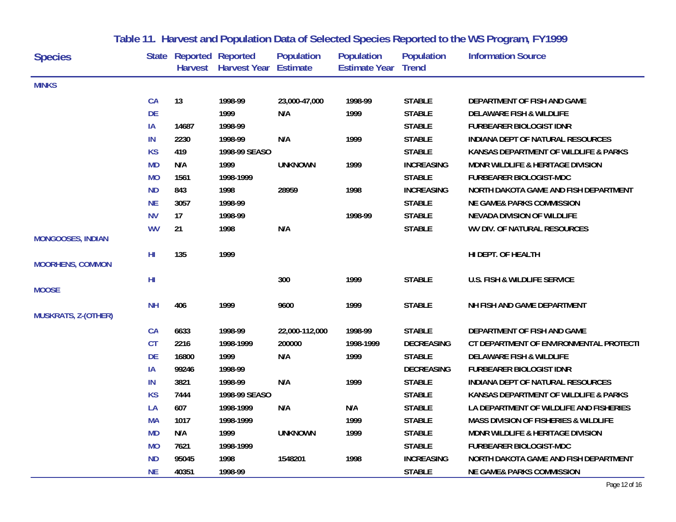| <b>Species</b>             |           | <b>State Reported Reported</b> | Harvest Harvest Year Estimate | <b>Population</b> | <b>Population</b><br><b>Estimate Year Trend</b> | <b>Population</b> | <b>Information Source</b>               |
|----------------------------|-----------|--------------------------------|-------------------------------|-------------------|-------------------------------------------------|-------------------|-----------------------------------------|
| <b>MINKS</b>               |           |                                |                               |                   |                                                 |                   |                                         |
|                            | <b>CA</b> | 13                             | 1998-99                       | 23,000-47,000     | 1998-99                                         | <b>STABLE</b>     | DEPARTMENT OF FISH AND GAME             |
|                            | <b>DE</b> |                                | 1999                          | N/A               | 1999                                            | <b>STABLE</b>     | <b>DELAWARE FISH &amp; WILDLIFE</b>     |
|                            | IA        | 14687                          | 1998-99                       |                   |                                                 | <b>STABLE</b>     | <b>FURBEARER BIOLOGIST IDNR</b>         |
|                            | IN        | 2230                           | 1998-99                       | N/A               | 1999                                            | <b>STABLE</b>     | INDIANA DEPT OF NATURAL RESOURCES       |
|                            | <b>KS</b> | 419                            | 1998-99 SEASO                 |                   |                                                 | <b>STABLE</b>     | KANSAS DEPARTMENT OF WILDLIFE & PARKS   |
|                            | <b>MD</b> | N/A                            | 1999                          | <b>UNKNOWN</b>    | 1999                                            | <b>INCREASING</b> | MDNR WILDLIFE & HERITAGE DIVISION       |
|                            | <b>MO</b> | 1561                           | 1998-1999                     |                   |                                                 | <b>STABLE</b>     | <b>FURBEARER BIOLOGIST-MDC</b>          |
|                            | <b>ND</b> | 843                            | 1998                          | 28959             | 1998                                            | <b>INCREASING</b> | NORTH DAKOTA GAME AND FISH DEPARTMENT   |
|                            | <b>NE</b> | 3057                           | 1998-99                       |                   |                                                 | <b>STABLE</b>     | <b>NE GAME&amp; PARKS COMMISSION</b>    |
|                            | <b>NV</b> | 17                             | 1998-99                       |                   | 1998-99                                         | <b>STABLE</b>     | NEVADA DIVISION OF WILDLIFE             |
| <b>MONGOOSES, INDIAN</b>   | <b>WV</b> | 21                             | 1998                          | N/A               |                                                 | <b>STABLE</b>     | WV DIV. OF NATURAL RESOURCES            |
| <b>MOORHENS, COMMON</b>    | HI        | 135                            | 1999                          |                   |                                                 |                   | HI DEPT. OF HEALTH                      |
|                            | HI        |                                |                               | 300               | 1999                                            | <b>STABLE</b>     | <b>U.S. FISH &amp; WILDLIFE SERVICE</b> |
| <b>MOOSE</b>               | <b>NH</b> | 406                            | 1999                          | 9600              | 1999                                            | <b>STABLE</b>     | NH FISH AND GAME DEPARTMENT             |
| <b>MUSKRATS, Z-(OTHER)</b> |           |                                |                               |                   |                                                 |                   |                                         |
|                            | CA        | 6633                           | 1998-99                       | 22,000-112,000    | 1998-99                                         | <b>STABLE</b>     | DEPARTMENT OF FISH AND GAME             |
|                            | <b>CT</b> | 2216                           | 1998-1999                     | 200000            | 1998-1999                                       | <b>DECREASING</b> | CT DEPARTMENT OF ENVIRONMENTAL PROTECTI |
|                            | <b>DE</b> | 16800                          | 1999                          | N/A               | 1999                                            | <b>STABLE</b>     | <b>DELAWARE FISH &amp; WILDLIFE</b>     |
|                            | IA        | 99246                          | 1998-99                       |                   |                                                 | <b>DECREASING</b> | <b>FURBEARER BIOLOGIST IDNR</b>         |
|                            | IN        | 3821                           | 1998-99                       | N/A               | 1999                                            | <b>STABLE</b>     | INDIANA DEPT OF NATURAL RESOURCES       |
|                            | <b>KS</b> | 7444                           | 1998-99 SEASO                 |                   |                                                 | <b>STABLE</b>     | KANSAS DEPARTMENT OF WILDLIFE & PARKS   |
|                            | LA        | 607                            | 1998-1999                     | N/A               | N/A                                             | <b>STABLE</b>     | LA DEPARTMENT OF WILDLIFE AND FISHERIES |
|                            | <b>MA</b> | 1017                           | 1998-1999                     |                   | 1999                                            | <b>STABLE</b>     | MASS DIVISION OF FISHERIES & WILDLIFE   |
|                            | <b>MD</b> | N/A                            | 1999                          | <b>UNKNOWN</b>    | 1999                                            | <b>STABLE</b>     | MDNR WILDLIFE & HERITAGE DIVISION       |
|                            | <b>MO</b> | 7621                           | 1998-1999                     |                   |                                                 | <b>STABLE</b>     | <b>FURBEARER BIOLOGIST-MDC</b>          |
|                            | <b>ND</b> | 95045                          | 1998                          | 1548201           | 1998                                            | <b>INCREASING</b> | NORTH DAKOTA GAME AND FISH DEPARTMENT   |
|                            | <b>NE</b> | 40351                          | 1998-99                       |                   |                                                 | <b>STABLE</b>     | <b>NE GAME&amp; PARKS COMMISSION</b>    |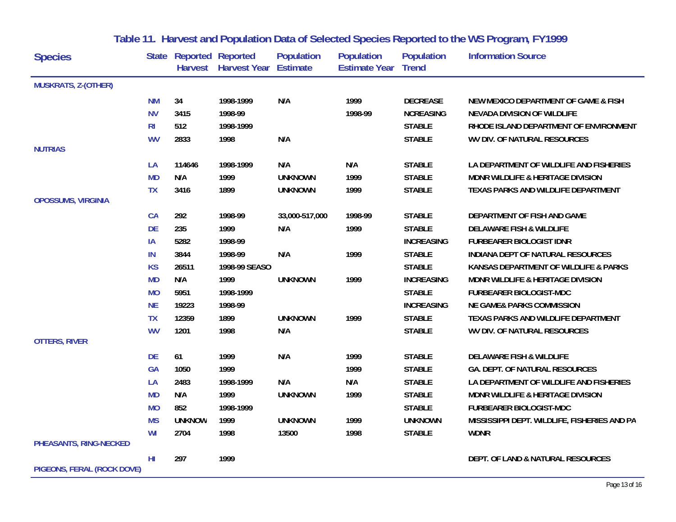| <b>Species</b>             |                | <b>State Reported Reported</b> | Harvest Harvest Year Estimate | <b>Population</b> | <b>Population</b><br><b>Estimate Year Trend</b> | <b>Population</b> | <b>Information Source</b>                       |
|----------------------------|----------------|--------------------------------|-------------------------------|-------------------|-------------------------------------------------|-------------------|-------------------------------------------------|
| <b>MUSKRATS, Z-(OTHER)</b> |                |                                |                               |                   |                                                 |                   |                                                 |
|                            | <b>NM</b>      | 34                             | 1998-1999                     | N/A               | 1999                                            | <b>DECREASE</b>   | <b>NEW MEXICO DEPARTMENT OF GAME &amp; FISH</b> |
|                            | <b>NV</b>      | 3415                           | 1998-99                       |                   | 1998-99                                         | <b>NCREASING</b>  | <b>NEVADA DIVISION OF WILDLIFE</b>              |
|                            | R <sub>l</sub> | 512                            | 1998-1999                     |                   |                                                 | <b>STABLE</b>     | RHODE ISLAND DEPARTMENT OF ENVIRONMENT          |
|                            | <b>WV</b>      | 2833                           | 1998                          | N/A               |                                                 | <b>STABLE</b>     | <b>WV DIV. OF NATURAL RESOURCES</b>             |
| <b>NUTRIAS</b>             |                |                                |                               |                   |                                                 |                   |                                                 |
|                            | LA             | 114646                         | 1998-1999                     | N/A               | N/A                                             | <b>STABLE</b>     | LA DEPARTMENT OF WILDLIFE AND FISHERIES         |
|                            | <b>MD</b>      | N/A                            | 1999                          | <b>UNKNOWN</b>    | 1999                                            | <b>STABLE</b>     | MDNR WILDLIFE & HERITAGE DIVISION               |
|                            | <b>TX</b>      | 3416                           | 1899                          | <b>UNKNOWN</b>    | 1999                                            | <b>STABLE</b>     | TEXAS PARKS AND WILDLIFE DEPARTMENT             |
| <b>OPOSSUMS, VIRGINIA</b>  |                |                                |                               |                   |                                                 |                   |                                                 |
|                            | CA             | 292                            | 1998-99                       | 33,000-517,000    | 1998-99                                         | <b>STABLE</b>     | DEPARTMENT OF FISH AND GAME                     |
|                            | <b>DE</b>      | 235                            | 1999                          | N/A               | 1999                                            | <b>STABLE</b>     | <b>DELAWARE FISH &amp; WILDLIFE</b>             |
|                            | IA             | 5282                           | 1998-99                       |                   |                                                 | <b>INCREASING</b> | <b>FURBEARER BIOLOGIST IDNR</b>                 |
|                            | IN             | 3844                           | 1998-99                       | N/A               | 1999                                            | <b>STABLE</b>     | INDIANA DEPT OF NATURAL RESOURCES               |
|                            | <b>KS</b>      | 26511                          | 1998-99 SEASO                 |                   |                                                 | <b>STABLE</b>     | KANSAS DEPARTMENT OF WILDLIFE & PARKS           |
|                            | <b>MD</b>      | N/A                            | 1999                          | <b>UNKNOWN</b>    | 1999                                            | <b>INCREASING</b> | <b>MDNR WILDLIFE &amp; HERITAGE DIVISION</b>    |
|                            | <b>MO</b>      | 5951                           | 1998-1999                     |                   |                                                 | <b>STABLE</b>     | FURBEARER BIOLOGIST-MDC                         |
|                            | <b>NE</b>      | 19223                          | 1998-99                       |                   |                                                 | <b>INCREASING</b> | <b>NE GAME&amp; PARKS COMMISSION</b>            |
|                            | <b>TX</b>      | 12359                          | 1899                          | <b>UNKNOWN</b>    | 1999                                            | <b>STABLE</b>     | TEXAS PARKS AND WILDLIFE DEPARTMENT             |
|                            | <b>WV</b>      | 1201                           | 1998                          | N/A               |                                                 | <b>STABLE</b>     | WV DIV. OF NATURAL RESOURCES                    |
| <b>OTTERS, RIVER</b>       |                |                                |                               |                   |                                                 |                   |                                                 |
|                            | <b>DE</b>      | 61                             | 1999                          | N/A               | 1999                                            | <b>STABLE</b>     | <b>DELAWARE FISH &amp; WILDLIFE</b>             |
|                            | <b>GA</b>      | 1050                           | 1999                          |                   | 1999                                            | <b>STABLE</b>     | <b>GA. DEPT. OF NATURAL RESOURCES</b>           |
|                            | LA             | 2483                           | 1998-1999                     | N/A               | N/A                                             | <b>STABLE</b>     | LA DEPARTMENT OF WILDLIFE AND FISHERIES         |
|                            | <b>MD</b>      | N/A                            | 1999                          | <b>UNKNOWN</b>    | 1999                                            | <b>STABLE</b>     | MDNR WILDLIFE & HERITAGE DIVISION               |
|                            | <b>MO</b>      | 852                            | 1998-1999                     |                   |                                                 | <b>STABLE</b>     | <b>FURBEARER BIOLOGIST-MDC</b>                  |
|                            | <b>MS</b>      | <b>UNKNOW</b>                  | 1999                          | <b>UNKNOWN</b>    | 1999                                            | <b>UNKNOWN</b>    | MISSISSIPPI DEPT. WILDLIFE, FISHERIES AND PA    |
|                            | WI             | 2704                           | 1998                          | 13500             | 1998                                            | <b>STABLE</b>     | <b>WDNR</b>                                     |
| PHEASANTS, RING-NECKED     |                |                                |                               |                   |                                                 |                   |                                                 |
| PIGEONS, FERAL (ROCK DOVE) | HI             | 297                            | 1999                          |                   |                                                 |                   | DEPT. OF LAND & NATURAL RESOURCES               |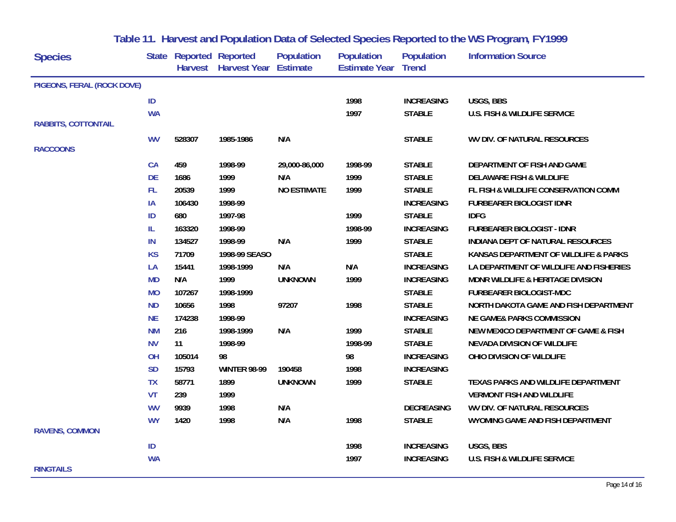| <b>Species</b>             |           | State Reported Reported | Harvest Harvest Year Estimate | <b>Population</b>  | <b>Population</b><br><b>Estimate Year Trend</b> | <b>Population</b> | <b>Information Source</b>               |
|----------------------------|-----------|-------------------------|-------------------------------|--------------------|-------------------------------------------------|-------------------|-----------------------------------------|
| PIGEONS, FERAL (ROCK DOVE) |           |                         |                               |                    |                                                 |                   |                                         |
|                            | ID        |                         |                               |                    | 1998                                            | <b>INCREASING</b> | USGS, BBS                               |
|                            | <b>WA</b> |                         |                               |                    | 1997                                            | <b>STABLE</b>     | <b>U.S. FISH &amp; WILDLIFE SERVICE</b> |
| <b>RABBITS, COTTONTAIL</b> |           |                         |                               |                    |                                                 |                   |                                         |
|                            | <b>WV</b> | 528307                  | 1985-1986                     | N/A                |                                                 | <b>STABLE</b>     | WV DIV. OF NATURAL RESOURCES            |
| <b>RACCOONS</b>            |           |                         |                               |                    |                                                 |                   |                                         |
|                            | <b>CA</b> | 459                     | 1998-99                       | 29,000-86,000      | 1998-99                                         | <b>STABLE</b>     | DEPARTMENT OF FISH AND GAME             |
|                            | DE        | 1686                    | 1999                          | N/A                | 1999                                            | <b>STABLE</b>     | <b>DELAWARE FISH &amp; WILDLIFE</b>     |
|                            | FL.       | 20539                   | 1999                          | <b>NO ESTIMATE</b> | 1999                                            | <b>STABLE</b>     | FL FISH & WILDLIFE CONSERVATION COMM    |
|                            | IA        | 106430                  | 1998-99                       |                    |                                                 | <b>INCREASING</b> | <b>FURBEARER BIOLOGIST IDNR</b>         |
|                            | ID        | 680                     | 1997-98                       |                    | 1999                                            | <b>STABLE</b>     | <b>IDFG</b>                             |
|                            | IL.       | 163320                  | 1998-99                       |                    | 1998-99                                         | <b>INCREASING</b> | <b>FURBEARER BIOLOGIST - IDNR</b>       |
|                            | IN        | 134527                  | 1998-99                       | N/A                | 1999                                            | <b>STABLE</b>     | INDIANA DEPT OF NATURAL RESOURCES       |
|                            | <b>KS</b> | 71709                   | 1998-99 SEASO                 |                    |                                                 | <b>STABLE</b>     | KANSAS DEPARTMENT OF WILDLIFE & PARKS   |
|                            | LA        | 15441                   | 1998-1999                     | N/A                | N/A                                             | <b>INCREASING</b> | LA DEPARTMENT OF WILDLIFE AND FISHERIES |
|                            | <b>MD</b> | N/A                     | 1999                          | <b>UNKNOWN</b>     | 1999                                            | <b>INCREASING</b> | MDNR WILDLIFE & HERITAGE DIVISION       |
|                            | <b>MO</b> | 107267                  | 1998-1999                     |                    |                                                 | <b>STABLE</b>     | FURBEARER BIOLOGIST-MDC                 |
|                            | <b>ND</b> | 10656                   | 1998                          | 97207              | 1998                                            | <b>STABLE</b>     | NORTH DAKOTA GAME AND FISH DEPARTMENT   |
|                            | <b>NE</b> | 174238                  | 1998-99                       |                    |                                                 | <b>INCREASING</b> | <b>NE GAME&amp; PARKS COMMISSION</b>    |
|                            | <b>NM</b> | 216                     | 1998-1999                     | N/A                | 1999                                            | <b>STABLE</b>     | NEW MEXICO DEPARTMENT OF GAME & FISH    |
|                            | <b>NV</b> | 11                      | 1998-99                       |                    | 1998-99                                         | <b>STABLE</b>     | NEVADA DIVISION OF WILDLIFE             |
|                            | OH        | 105014                  | 98                            |                    | 98                                              | <b>INCREASING</b> | OHIO DIVISION OF WILDLIFE               |
|                            | <b>SD</b> | 15793                   | <b>WINTER 98-99</b>           | 190458             | 1998                                            | <b>INCREASING</b> |                                         |
|                            | <b>TX</b> | 58771                   | 1899                          | <b>UNKNOWN</b>     | 1999                                            | <b>STABLE</b>     | TEXAS PARKS AND WILDLIFE DEPARTMENT     |
|                            | VT        | 239                     | 1999                          |                    |                                                 |                   | <b>VERMONT FISH AND WILDLIFE</b>        |
|                            | <b>WV</b> | 9939                    | 1998                          | N/A                |                                                 | <b>DECREASING</b> | WV DIV. OF NATURAL RESOURCES            |
|                            | <b>WY</b> | 1420                    | 1998                          | N/A                | 1998                                            | <b>STABLE</b>     | WYOMING GAME AND FISH DEPARTMENT        |
| <b>RAVENS, COMMON</b>      |           |                         |                               |                    |                                                 |                   |                                         |
|                            | ID        |                         |                               |                    | 1998                                            | <b>INCREASING</b> | USGS, BBS                               |
|                            | <b>WA</b> |                         |                               |                    | 1997                                            | <b>INCREASING</b> | U.S. FISH & WILDLIFE SERVICE            |
| <b>RINGTAILS</b>           |           |                         |                               |                    |                                                 |                   |                                         |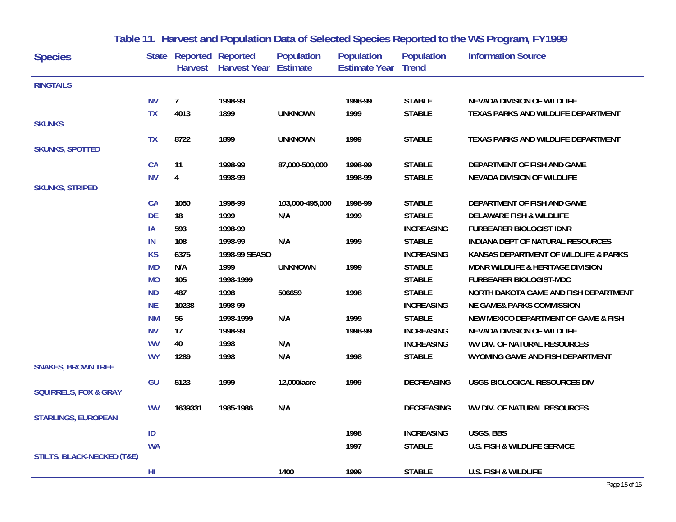| <b>Species</b>                        |           | <b>State Reported Reported</b> | Harvest Harvest Year Estimate | <b>Population</b> | Population<br><b>Estimate Year Trend</b> | <b>Population</b> | <b>Information Source</b>               |
|---------------------------------------|-----------|--------------------------------|-------------------------------|-------------------|------------------------------------------|-------------------|-----------------------------------------|
| <b>RINGTAILS</b>                      |           |                                |                               |                   |                                          |                   |                                         |
|                                       | <b>NV</b> | $\overline{7}$                 | 1998-99                       |                   | 1998-99                                  | <b>STABLE</b>     | NEVADA DIVISION OF WILDLIFE             |
|                                       | <b>TX</b> | 4013                           | 1899                          | <b>UNKNOWN</b>    | 1999                                     | <b>STABLE</b>     | TEXAS PARKS AND WILDLIFE DEPARTMENT     |
| <b>SKUNKS</b>                         |           |                                |                               |                   |                                          |                   |                                         |
|                                       | <b>TX</b> | 8722                           | 1899                          | <b>UNKNOWN</b>    | 1999                                     | <b>STABLE</b>     | TEXAS PARKS AND WILDLIFE DEPARTMENT     |
| <b>SKUNKS, SPOTTED</b>                |           |                                |                               |                   |                                          |                   |                                         |
|                                       | CA        | 11                             | 1998-99                       | 87,000-500,000    | 1998-99                                  | <b>STABLE</b>     | DEPARTMENT OF FISH AND GAME             |
|                                       | <b>NV</b> | 4                              | 1998-99                       |                   | 1998-99                                  | <b>STABLE</b>     | NEVADA DIVISION OF WILDLIFE             |
| <b>SKUNKS, STRIPED</b>                |           |                                |                               |                   |                                          |                   |                                         |
|                                       | <b>CA</b> | 1050                           | 1998-99                       | 103,000-495,000   | 1998-99                                  | <b>STABLE</b>     | DEPARTMENT OF FISH AND GAME             |
|                                       | <b>DE</b> | 18                             | 1999                          | N/A               | 1999                                     | <b>STABLE</b>     | <b>DELAWARE FISH &amp; WILDLIFE</b>     |
|                                       | IA        | 593                            | 1998-99                       |                   |                                          | <b>INCREASING</b> | <b>FURBEARER BIOLOGIST IDNR</b>         |
|                                       | IN        | 108                            | 1998-99                       | N/A               | 1999                                     | <b>STABLE</b>     | INDIANA DEPT OF NATURAL RESOURCES       |
|                                       | <b>KS</b> | 6375                           | 1998-99 SEASO                 |                   |                                          | <b>INCREASING</b> | KANSAS DEPARTMENT OF WILDLIFE & PARKS   |
|                                       | <b>MD</b> | N/A                            | 1999                          | <b>UNKNOWN</b>    | 1999                                     | <b>STABLE</b>     | MDNR WILDLIFE & HERITAGE DIVISION       |
|                                       | <b>MO</b> | 105                            | 1998-1999                     |                   |                                          | <b>STABLE</b>     | <b>FURBEARER BIOLOGIST-MDC</b>          |
|                                       | <b>ND</b> | 487                            | 1998                          | 506659            | 1998                                     | <b>STABLE</b>     | NORTH DAKOTA GAME AND FISH DEPARTMENT   |
|                                       | <b>NE</b> | 10238                          | 1998-99                       |                   |                                          | <b>INCREASING</b> | <b>NE GAME&amp; PARKS COMMISSION</b>    |
|                                       | <b>NM</b> | 56                             | 1998-1999                     | N/A               | 1999                                     | <b>STABLE</b>     | NEW MEXICO DEPARTMENT OF GAME & FISH    |
|                                       | <b>NV</b> | 17                             | 1998-99                       |                   | 1998-99                                  | <b>INCREASING</b> | <b>NEVADA DIVISION OF WILDLIFE</b>      |
|                                       | <b>WV</b> | 40                             | 1998                          | N/A               |                                          | <b>INCREASING</b> | WV DIV. OF NATURAL RESOURCES            |
|                                       | <b>WY</b> | 1289                           | 1998                          | N/A               | 1998                                     | <b>STABLE</b>     | WYOMING GAME AND FISH DEPARTMENT        |
| <b>SNAKES, BROWN TREE</b>             |           |                                |                               |                   |                                          |                   |                                         |
|                                       | GU        | 5123                           | 1999                          | 12,000/acre       | 1999                                     | <b>DECREASING</b> | USGS-BIOLOGICAL RESOURCES DIV           |
| <b>SQUIRRELS, FOX &amp; GRAY</b>      |           |                                |                               |                   |                                          |                   |                                         |
|                                       | <b>WV</b> | 1639331                        | 1985-1986                     | N/A               |                                          | <b>DECREASING</b> | WV DIV. OF NATURAL RESOURCES            |
| <b>STARLINGS, EUROPEAN</b>            |           |                                |                               |                   |                                          |                   |                                         |
|                                       | ID        |                                |                               |                   | 1998                                     | <b>INCREASING</b> | USGS, BBS                               |
|                                       | <b>WA</b> |                                |                               |                   | 1997                                     | <b>STABLE</b>     | <b>U.S. FISH &amp; WILDLIFE SERVICE</b> |
| <b>STILTS, BLACK-NECKED (T&amp;E)</b> |           |                                |                               |                   |                                          |                   |                                         |
|                                       | HI        |                                |                               | 1400              | 1999                                     | <b>STABLE</b>     | <b>U.S. FISH &amp; WILDLIFE</b>         |